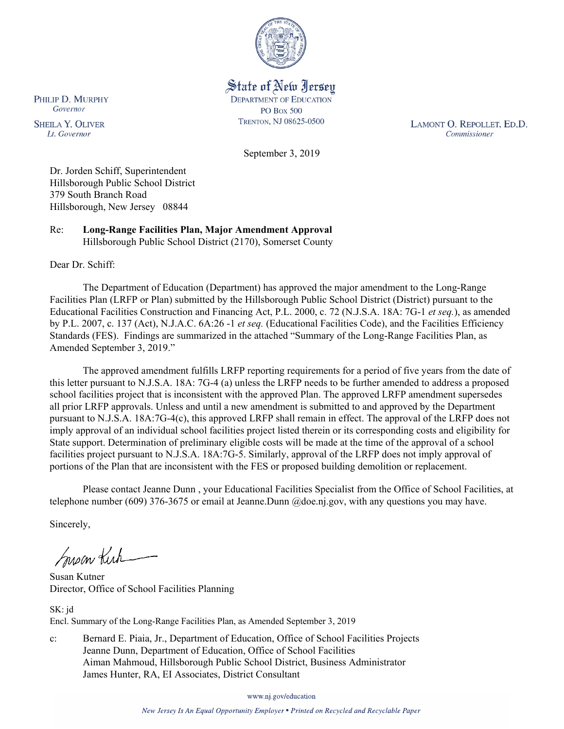

State of New Jersey **DEPARTMENT OF EDUCATION PO Box 500** TRENTON, NJ 08625-0500

LAMONT O. REPOLLET, ED.D. Commissioner

September 3, 2019

Dr. Jorden Schiff, Superintendent Hillsborough Public School District 379 South Branch Road Hillsborough, New Jersey 08844

Re: **Long-Range Facilities Plan, Major Amendment Approval** Hillsborough Public School District (2170), Somerset County

Dear Dr. Schiff:

The Department of Education (Department) has approved the major amendment to the Long-Range Facilities Plan (LRFP or Plan) submitted by the Hillsborough Public School District (District) pursuant to the Educational Facilities Construction and Financing Act, P.L. 2000, c. 72 (N.J.S.A. 18A: 7G-1 *et seq.*), as amended by P.L. 2007, c. 137 (Act), N.J.A.C. 6A:26 -1 *et seq.* (Educational Facilities Code), and the Facilities Efficiency Standards (FES). Findings are summarized in the attached "Summary of the Long-Range Facilities Plan, as Amended September 3, 2019."

The approved amendment fulfills LRFP reporting requirements for a period of five years from the date of this letter pursuant to N.J.S.A. 18A: 7G-4 (a) unless the LRFP needs to be further amended to address a proposed school facilities project that is inconsistent with the approved Plan. The approved LRFP amendment supersedes all prior LRFP approvals. Unless and until a new amendment is submitted to and approved by the Department pursuant to N.J.S.A. 18A:7G-4(c), this approved LRFP shall remain in effect. The approval of the LRFP does not imply approval of an individual school facilities project listed therein or its corresponding costs and eligibility for State support. Determination of preliminary eligible costs will be made at the time of the approval of a school facilities project pursuant to N.J.S.A. 18A:7G-5. Similarly, approval of the LRFP does not imply approval of portions of the Plan that are inconsistent with the FES or proposed building demolition or replacement.

Please contact Jeanne Dunn , your Educational Facilities Specialist from the Office of School Facilities, at telephone number (609) 376-3675 or email at Jeanne.Dunn @doe.nj.gov, with any questions you may have.

Sincerely,

Susan Kich

Susan Kutner Director, Office of School Facilities Planning

SK: jd Encl. Summary of the Long-Range Facilities Plan, as Amended September 3, 2019

c: Bernard E. Piaia, Jr., Department of Education, Office of School Facilities Projects Jeanne Dunn, Department of Education, Office of School Facilities Aiman Mahmoud, Hillsborough Public School District, Business Administrator James Hunter, RA, EI Associates, District Consultant

www.nj.gov/education

PHILIP D. MURPHY Governor

**SHEILA Y. OLIVER** Lt. Governor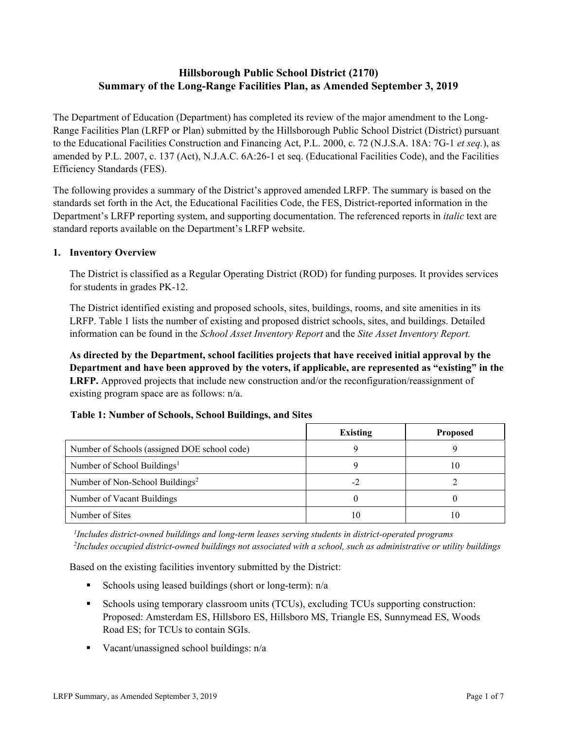# **Hillsborough Public School District (2170) Summary of the Long-Range Facilities Plan, as Amended September 3, 2019**

The Department of Education (Department) has completed its review of the major amendment to the Long-Range Facilities Plan (LRFP or Plan) submitted by the Hillsborough Public School District (District) pursuant to the Educational Facilities Construction and Financing Act, P.L. 2000, c. 72 (N.J.S.A. 18A: 7G-1 *et seq.*), as amended by P.L. 2007, c. 137 (Act), N.J.A.C. 6A:26-1 et seq. (Educational Facilities Code), and the Facilities Efficiency Standards (FES).

The following provides a summary of the District's approved amended LRFP. The summary is based on the standards set forth in the Act, the Educational Facilities Code, the FES, District-reported information in the Department's LRFP reporting system, and supporting documentation. The referenced reports in *italic* text are standard reports available on the Department's LRFP website.

### **1. Inventory Overview**

The District is classified as a Regular Operating District (ROD) for funding purposes. It provides services for students in grades PK-12.

The District identified existing and proposed schools, sites, buildings, rooms, and site amenities in its LRFP. Table 1 lists the number of existing and proposed district schools, sites, and buildings. Detailed information can be found in the *School Asset Inventory Report* and the *Site Asset Inventory Report.*

**As directed by the Department, school facilities projects that have received initial approval by the Department and have been approved by the voters, if applicable, are represented as "existing" in the LRFP.** Approved projects that include new construction and/or the reconfiguration/reassignment of existing program space are as follows: n/a.

|  |  | Table 1: Number of Schools, School Buildings, and Sites |  |
|--|--|---------------------------------------------------------|--|
|--|--|---------------------------------------------------------|--|

|                                              | <b>Existing</b> | <b>Proposed</b> |
|----------------------------------------------|-----------------|-----------------|
| Number of Schools (assigned DOE school code) |                 |                 |
| Number of School Buildings <sup>1</sup>      |                 | 10              |
| Number of Non-School Buildings <sup>2</sup>  | - 4             |                 |
| Number of Vacant Buildings                   |                 |                 |
| Number of Sites                              | 10              | 10              |

*1 Includes district-owned buildings and long-term leases serving students in district-operated programs 2 Includes occupied district-owned buildings not associated with a school, such as administrative or utility buildings*

Based on the existing facilities inventory submitted by the District:

- Schools using leased buildings (short or long-term):  $n/a$
- Schools using temporary classroom units (TCUs), excluding TCUs supporting construction: Proposed: Amsterdam ES, Hillsboro ES, Hillsboro MS, Triangle ES, Sunnymead ES, Woods Road ES; for TCUs to contain SGIs.
- Vacant/unassigned school buildings: n/a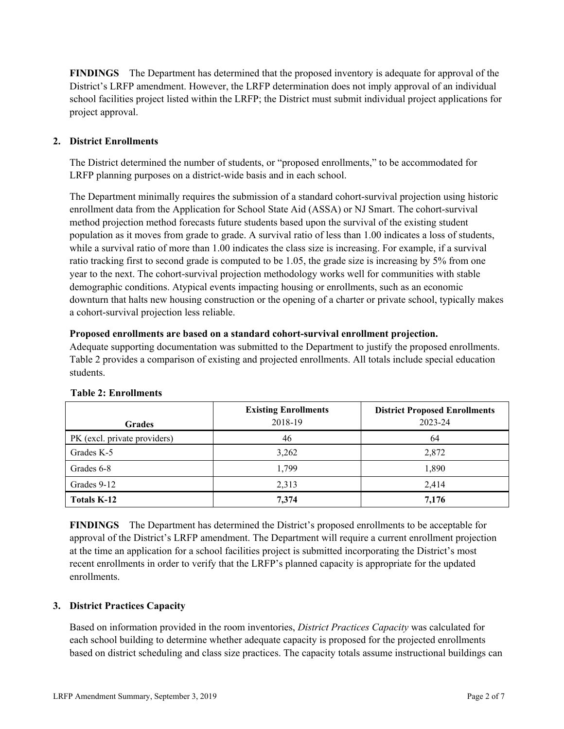**FINDINGS** The Department has determined that the proposed inventory is adequate for approval of the District's LRFP amendment. However, the LRFP determination does not imply approval of an individual school facilities project listed within the LRFP; the District must submit individual project applications for project approval.

## **2. District Enrollments**

The District determined the number of students, or "proposed enrollments," to be accommodated for LRFP planning purposes on a district-wide basis and in each school.

The Department minimally requires the submission of a standard cohort-survival projection using historic enrollment data from the Application for School State Aid (ASSA) or NJ Smart. The cohort-survival method projection method forecasts future students based upon the survival of the existing student population as it moves from grade to grade. A survival ratio of less than 1.00 indicates a loss of students, while a survival ratio of more than 1.00 indicates the class size is increasing. For example, if a survival ratio tracking first to second grade is computed to be 1.05, the grade size is increasing by 5% from one year to the next. The cohort-survival projection methodology works well for communities with stable demographic conditions. Atypical events impacting housing or enrollments, such as an economic downturn that halts new housing construction or the opening of a charter or private school, typically makes a cohort-survival projection less reliable.

#### **Proposed enrollments are based on a standard cohort-survival enrollment projection.**

Adequate supporting documentation was submitted to the Department to justify the proposed enrollments. Table 2 provides a comparison of existing and projected enrollments. All totals include special education students.

|                              | <b>Existing Enrollments</b><br>2018-19 | <b>District Proposed Enrollments</b> |
|------------------------------|----------------------------------------|--------------------------------------|
| <b>Grades</b>                |                                        | 2023-24                              |
| PK (excl. private providers) | 46                                     | 64                                   |
| Grades K-5                   | 3,262                                  | 2,872                                |
| Grades 6-8                   | 1,799                                  | 1,890                                |
| Grades 9-12                  | 2,313                                  | 2,414                                |
| <b>Totals K-12</b>           | 7,374                                  | 7,176                                |

#### **Table 2: Enrollments**

**FINDINGS** The Department has determined the District's proposed enrollments to be acceptable for approval of the District's LRFP amendment. The Department will require a current enrollment projection at the time an application for a school facilities project is submitted incorporating the District's most recent enrollments in order to verify that the LRFP's planned capacity is appropriate for the updated enrollments.

#### **3. District Practices Capacity**

Based on information provided in the room inventories, *District Practices Capacity* was calculated for each school building to determine whether adequate capacity is proposed for the projected enrollments based on district scheduling and class size practices. The capacity totals assume instructional buildings can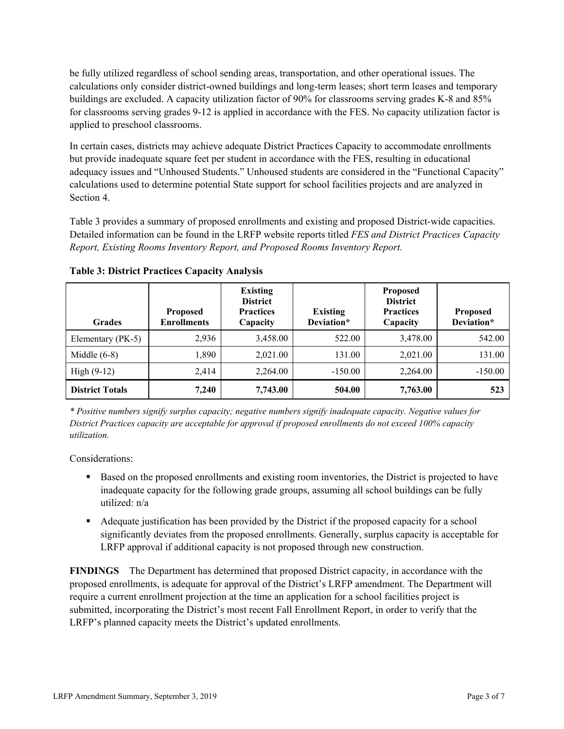be fully utilized regardless of school sending areas, transportation, and other operational issues. The calculations only consider district-owned buildings and long-term leases; short term leases and temporary buildings are excluded. A capacity utilization factor of 90% for classrooms serving grades K-8 and 85% for classrooms serving grades 9-12 is applied in accordance with the FES. No capacity utilization factor is applied to preschool classrooms.

In certain cases, districts may achieve adequate District Practices Capacity to accommodate enrollments but provide inadequate square feet per student in accordance with the FES, resulting in educational adequacy issues and "Unhoused Students." Unhoused students are considered in the "Functional Capacity" calculations used to determine potential State support for school facilities projects and are analyzed in Section 4.

Table 3 provides a summary of proposed enrollments and existing and proposed District-wide capacities. Detailed information can be found in the LRFP website reports titled *FES and District Practices Capacity Report, Existing Rooms Inventory Report, and Proposed Rooms Inventory Report.*

| <b>Grades</b>          | <b>Proposed</b><br><b>Enrollments</b> | <b>Existing</b><br><b>District</b><br><b>Practices</b><br>Capacity | <b>Existing</b><br>Deviation* | <b>Proposed</b><br><b>District</b><br><b>Practices</b><br>Capacity | Proposed<br>Deviation* |
|------------------------|---------------------------------------|--------------------------------------------------------------------|-------------------------------|--------------------------------------------------------------------|------------------------|
| Elementary (PK-5)      | 2,936                                 | 3,458.00                                                           | 522.00                        | 3,478.00                                                           | 542.00                 |
| Middle $(6-8)$         | 1,890                                 | 2,021.00                                                           | 131.00                        | 2,021.00                                                           | 131.00                 |
| High $(9-12)$          | 2,414                                 | 2,264.00                                                           | $-150.00$                     | 2,264.00                                                           | $-150.00$              |
| <b>District Totals</b> | 7,240                                 | 7,743.00                                                           | 504.00                        | 7,763.00                                                           | 523                    |

**Table 3: District Practices Capacity Analysis**

*\* Positive numbers signify surplus capacity; negative numbers signify inadequate capacity. Negative values for District Practices capacity are acceptable for approval if proposed enrollments do not exceed 100% capacity utilization.*

Considerations:

- Based on the proposed enrollments and existing room inventories, the District is projected to have inadequate capacity for the following grade groups, assuming all school buildings can be fully utilized: n/a
- Adequate justification has been provided by the District if the proposed capacity for a school significantly deviates from the proposed enrollments. Generally, surplus capacity is acceptable for LRFP approval if additional capacity is not proposed through new construction.

**FINDINGS**The Department has determined that proposed District capacity, in accordance with the proposed enrollments, is adequate for approval of the District's LRFP amendment. The Department will require a current enrollment projection at the time an application for a school facilities project is submitted, incorporating the District's most recent Fall Enrollment Report, in order to verify that the LRFP's planned capacity meets the District's updated enrollments.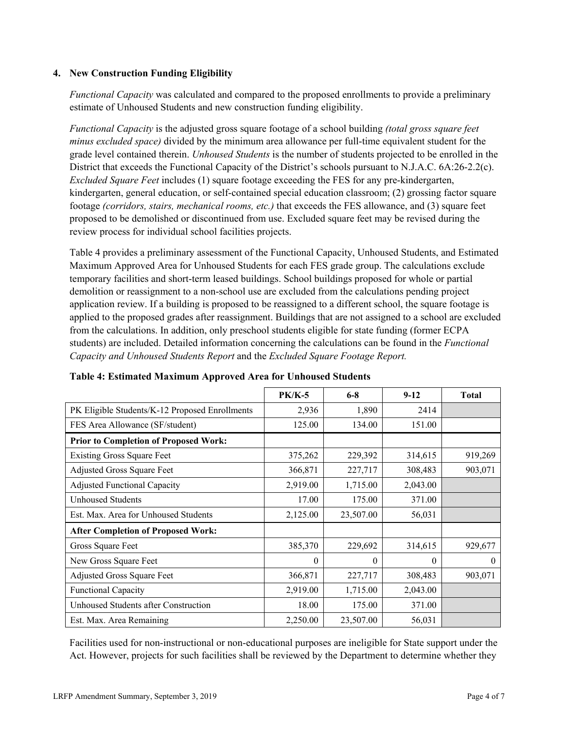### **4. New Construction Funding Eligibility**

*Functional Capacity* was calculated and compared to the proposed enrollments to provide a preliminary estimate of Unhoused Students and new construction funding eligibility.

*Functional Capacity* is the adjusted gross square footage of a school building *(total gross square feet minus excluded space)* divided by the minimum area allowance per full-time equivalent student for the grade level contained therein. *Unhoused Students* is the number of students projected to be enrolled in the District that exceeds the Functional Capacity of the District's schools pursuant to N.J.A.C. 6A:26-2.2(c). *Excluded Square Feet* includes (1) square footage exceeding the FES for any pre-kindergarten, kindergarten, general education, or self-contained special education classroom; (2) grossing factor square footage *(corridors, stairs, mechanical rooms, etc.)* that exceeds the FES allowance, and (3) square feet proposed to be demolished or discontinued from use. Excluded square feet may be revised during the review process for individual school facilities projects.

Table 4 provides a preliminary assessment of the Functional Capacity, Unhoused Students, and Estimated Maximum Approved Area for Unhoused Students for each FES grade group. The calculations exclude temporary facilities and short-term leased buildings. School buildings proposed for whole or partial demolition or reassignment to a non-school use are excluded from the calculations pending project application review. If a building is proposed to be reassigned to a different school, the square footage is applied to the proposed grades after reassignment. Buildings that are not assigned to a school are excluded from the calculations. In addition, only preschool students eligible for state funding (former ECPA students) are included. Detailed information concerning the calculations can be found in the *Functional Capacity and Unhoused Students Report* and the *Excluded Square Footage Report.*

|                                                | $PK/K-5$ | $6 - 8$   | $9-12$   | <b>Total</b> |
|------------------------------------------------|----------|-----------|----------|--------------|
| PK Eligible Students/K-12 Proposed Enrollments | 2,936    | 1,890     | 2414     |              |
| FES Area Allowance (SF/student)                | 125.00   | 134.00    | 151.00   |              |
| <b>Prior to Completion of Proposed Work:</b>   |          |           |          |              |
| <b>Existing Gross Square Feet</b>              | 375,262  | 229,392   | 314,615  | 919,269      |
| Adjusted Gross Square Feet                     | 366,871  | 227,717   | 308,483  | 903,071      |
| <b>Adjusted Functional Capacity</b>            | 2,919.00 | 1,715.00  | 2,043.00 |              |
| Unhoused Students                              | 17.00    | 175.00    | 371.00   |              |
| Est. Max. Area for Unhoused Students           | 2,125.00 | 23,507.00 | 56,031   |              |
| <b>After Completion of Proposed Work:</b>      |          |           |          |              |
| Gross Square Feet                              | 385,370  | 229,692   | 314,615  | 929,677      |
| New Gross Square Feet                          | $\theta$ | $\theta$  | $\theta$ | $\theta$     |
| Adjusted Gross Square Feet                     | 366,871  | 227,717   | 308,483  | 903,071      |
| <b>Functional Capacity</b>                     | 2,919.00 | 1,715.00  | 2,043.00 |              |
| Unhoused Students after Construction           | 18.00    | 175.00    | 371.00   |              |
| Est. Max. Area Remaining                       | 2,250.00 | 23,507.00 | 56,031   |              |

**Table 4: Estimated Maximum Approved Area for Unhoused Students**

Facilities used for non-instructional or non-educational purposes are ineligible for State support under the Act. However, projects for such facilities shall be reviewed by the Department to determine whether they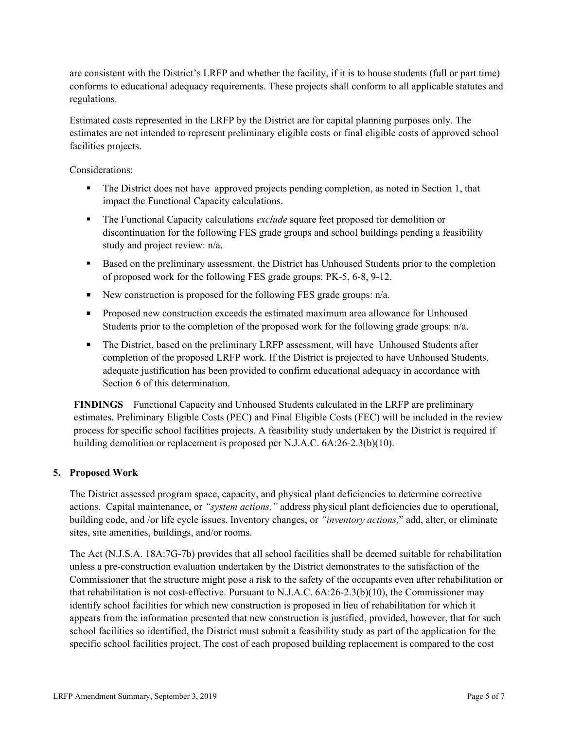are consistent with the District's LRFP and whether the facility, if it is to house students (full or part time) conforms to educational adequacy requirements. These projects shall conform to all applicable statutes and regulations.

Estimated costs represented in the LRFP by the District are for capital planning purposes only. The estimates are not intended to represent preliminary eligible costs or final eligible costs of approved school facilities projects.

Considerations:

- The District does not have approved projects pending completion, as noted in Section 1, that impact the Functional Capacity calculations.
- The Functional Capacity calculations *exclude* square feet proposed for demolition or discontinuation for the following FES grade groups and school buildings pending a feasibility study and project review: n/a.
- Based on the preliminary assessment, the District has Unhoused Students prior to the completion of proposed work for the following FES grade groups: PK-5, 6-8, 9-12.
- New construction is proposed for the following FES grade groups:  $n/a$ .
- **Proposed new construction exceeds the estimated maximum area allowance for Unhoused** Students prior to the completion of the proposed work for the following grade groups: n/a.
- The District, based on the preliminary LRFP assessment, will have Unhoused Students after completion of the proposed LRFP work. If the District is projected to have Unhoused Students, adequate justification has been provided to confirm educational adequacy in accordance with Section 6 of this determination.

**FINDINGS** Functional Capacity and Unhoused Students calculated in the LRFP are preliminary estimates. Preliminary Eligible Costs (PEC) and Final Eligible Costs (FEC) will be included in the review process for specific school facilities projects. A feasibility study undertaken by the District is required if building demolition or replacement is proposed per N.J.A.C. 6A:26-2.3(b)(10).

## **5. Proposed Work**

The District assessed program space, capacity, and physical plant deficiencies to determine corrective actions. Capital maintenance, or *"system actions,"* address physical plant deficiencies due to operational, building code, and /or life cycle issues. Inventory changes, or *"inventory actions,*" add, alter, or eliminate sites, site amenities, buildings, and/or rooms.

The Act (N.J.S.A. 18A:7G-7b) provides that all school facilities shall be deemed suitable for rehabilitation unless a pre-construction evaluation undertaken by the District demonstrates to the satisfaction of the Commissioner that the structure might pose a risk to the safety of the occupants even after rehabilitation or that rehabilitation is not cost-effective. Pursuant to N.J.A.C. 6A:26-2.3(b)(10), the Commissioner may identify school facilities for which new construction is proposed in lieu of rehabilitation for which it appears from the information presented that new construction is justified, provided, however, that for such school facilities so identified, the District must submit a feasibility study as part of the application for the specific school facilities project. The cost of each proposed building replacement is compared to the cost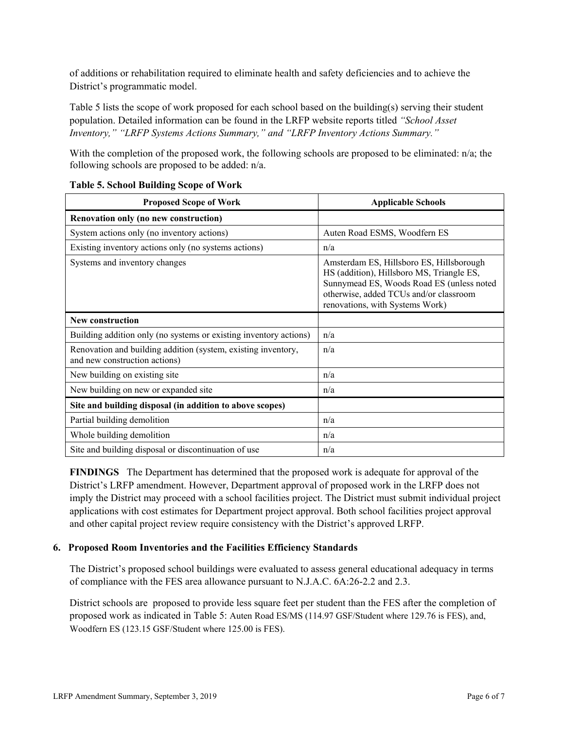of additions or rehabilitation required to eliminate health and safety deficiencies and to achieve the District's programmatic model.

Table 5 lists the scope of work proposed for each school based on the building(s) serving their student population. Detailed information can be found in the LRFP website reports titled *"School Asset Inventory," "LRFP Systems Actions Summary," and "LRFP Inventory Actions Summary."*

With the completion of the proposed work, the following schools are proposed to be eliminated:  $n/a$ ; the following schools are proposed to be added: n/a.

| <b>Proposed Scope of Work</b>                                                                  | <b>Applicable Schools</b>                                                                                                                                                                                       |  |  |
|------------------------------------------------------------------------------------------------|-----------------------------------------------------------------------------------------------------------------------------------------------------------------------------------------------------------------|--|--|
| Renovation only (no new construction)                                                          |                                                                                                                                                                                                                 |  |  |
| System actions only (no inventory actions)                                                     | Auten Road ESMS, Woodfern ES                                                                                                                                                                                    |  |  |
| Existing inventory actions only (no systems actions)                                           | n/a                                                                                                                                                                                                             |  |  |
| Systems and inventory changes                                                                  | Amsterdam ES, Hillsboro ES, Hillsborough<br>HS (addition), Hillsboro MS, Triangle ES,<br>Sunnymead ES, Woods Road ES (unless noted<br>otherwise, added TCUs and/or classroom<br>renovations, with Systems Work) |  |  |
| <b>New construction</b>                                                                        |                                                                                                                                                                                                                 |  |  |
| Building addition only (no systems or existing inventory actions)                              | n/a                                                                                                                                                                                                             |  |  |
| Renovation and building addition (system, existing inventory,<br>and new construction actions) | n/a                                                                                                                                                                                                             |  |  |
| New building on existing site                                                                  | n/a                                                                                                                                                                                                             |  |  |
| New building on new or expanded site                                                           | n/a                                                                                                                                                                                                             |  |  |
| Site and building disposal (in addition to above scopes)                                       |                                                                                                                                                                                                                 |  |  |
| Partial building demolition                                                                    | n/a                                                                                                                                                                                                             |  |  |
| Whole building demolition                                                                      | n/a                                                                                                                                                                                                             |  |  |
| Site and building disposal or discontinuation of use                                           | n/a                                                                                                                                                                                                             |  |  |

**Table 5. School Building Scope of Work**

**FINDINGS** The Department has determined that the proposed work is adequate for approval of the District's LRFP amendment. However, Department approval of proposed work in the LRFP does not imply the District may proceed with a school facilities project. The District must submit individual project applications with cost estimates for Department project approval. Both school facilities project approval and other capital project review require consistency with the District's approved LRFP.

## **6. Proposed Room Inventories and the Facilities Efficiency Standards**

The District's proposed school buildings were evaluated to assess general educational adequacy in terms of compliance with the FES area allowance pursuant to N.J.A.C. 6A:26-2.2 and 2.3.

District schools are proposed to provide less square feet per student than the FES after the completion of proposed work as indicated in Table 5: Auten Road ES/MS (114.97 GSF/Student where 129.76 is FES), and, Woodfern ES (123.15 GSF/Student where 125.00 is FES).